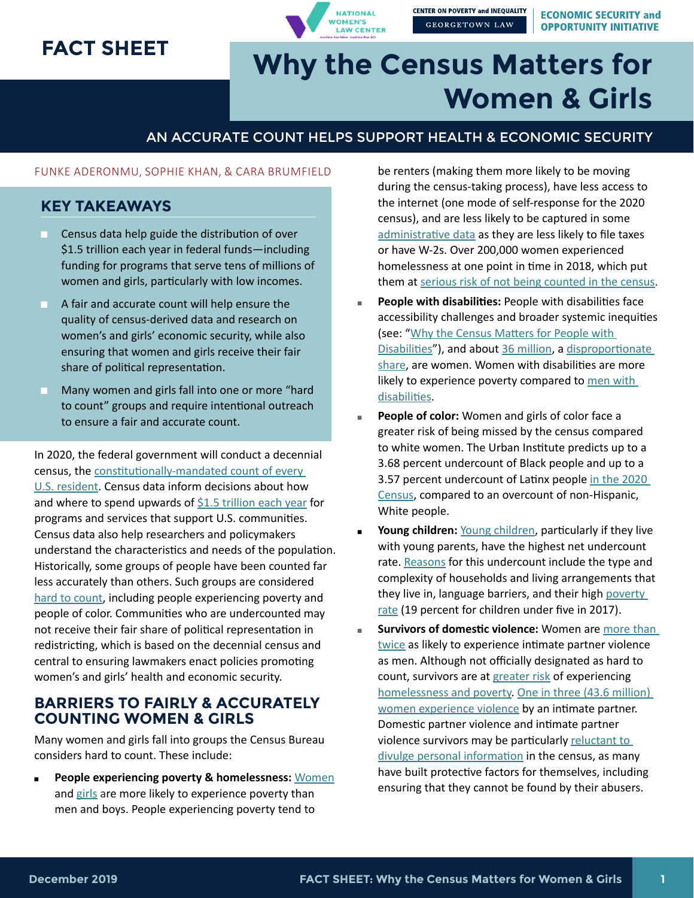## **FACT SHEET**

**NATIONAL WOMEN'S LAW CENTER** 

**CENTER ON POVERTY and INEQUALITY GEORGETOWN LAW** 

**ECONOMIC SECURITY and OPPORTUNITY INITIATIVE** 

# **Why the Census Matters for Women & Girls**

#### AN ACCURATE COUNT HELPS SUPPORT HEALTH & ECONOMIC SECURITY

#### FUNKE ADERONMU, SOPHIE KHAN, & CARA BRUMFIELD

#### **KEY TAKEAWAYS**

- Census data help guide the distribution of over \$1.5 trillion each year in federal funds—including funding for programs that serve tens of millions of women and girls, particularly with low incomes.
- A fair and accurate count will help ensure the quality of census-derived data and research on women's and girls' economic security, while also ensuring that women and girls receive their fair share of political representation.
- Many women and girls fall into one or more "hard to count" groups and require intentional outreach to ensure a fair and accurate count.

In 2020, the federal government will conduct a decennial census, the [constitutionally-mandated count of every](https://www.georgetownpoverty.org/wp-content/uploads/2019/05/LibrariesGuide2020Census-20190517.pdf)  [U.S. resident.](https://www.georgetownpoverty.org/wp-content/uploads/2019/05/LibrariesGuide2020Census-20190517.pdf) Census data inform decisions about how and where to spend upwards of [\\$1.5 trillion each year](https://gwipp.gwu.edu/sites/g/files/zaxdzs2181/f/downloads/Counting for Dollars 2020 Brief 7A - Comprehensive Accounting.pdf) for programs and services that support U.S. communities. Census data also help researchers and policymakers understand the characteristics and needs of the population. Historically, some groups of people have been counted far less accurately than others. Such groups are considered [hard to count](https://www2.census.gov/cac/nac/reports/2016-07-admin_internet-wg-report.pdf), including people experiencing poverty and people of color. Communities who are undercounted may not receive their fair share of political representation in redistricting, which is based on the decennial census and central to ensuring lawmakers enact policies promoting women's and girls' health and economic security.

#### **BARRIERS TO FAIRLY & ACCURATELY COUNTING WOMEN & GIRLS**

Many women and girls fall into groups the Census Bureau considers hard to count. These include:

**People experiencing poverty & homelessness: [Women](https://nwlc.org/resources/national-snapshot-poverty-among-women-families-2019/)** and [girls](https://www.statista.com/statistics/233154/us-poverty-rate-by-gender/) are more likely to experience poverty than men and boys. People experiencing poverty tend to

be renters (making them more likely to be moving during the census-taking process), have less access to the internet (one mode of self-response for the 2020 census), and are less likely to be captured in some [administrative data](https://www2.census.gov/programs-surveys/decennial/2020/program-management/planning-docs/2020-oper-plan.pdf) as they are less likely to file taxes or have W-2s. Over 200,000 women experienced homelessness at one point in time in 2018, which put them at [serious risk of not being counted in the census](https://www.ywca.org/wp-content/uploads/YWCA-USA-Comments-USBC-2018-0005-20180808.pdf).

- **People with disabilities:** People with disabilities face accessibility challenges and broader systemic inequities (see: "[Why the Census Matters for People with](http://www.georgetownpoverty.org/wp-content/uploads/2019/07/People-with-Disabilities-Brief.pdf)  [Disabilities"](http://www.georgetownpoverty.org/wp-content/uploads/2019/07/People-with-Disabilities-Brief.pdf)), and about [36 million](https://www.cdc.gov/ncbddd/disabilityandhealth/women.html), a disproportionate [share](https://www.cdc.gov/media/releases/2018/p0816-disability.html), are women. Women with disabilities are more likely to experience poverty compared to men with [disabilities](https://nwlc-ciw49tixgw5lbab.stackpathdns.com/wp-content/uploads/2019/10/PovertySnapshot2019-1.pdf). ■
- **People of color:** Women and girls of color face a greater risk of being missed by the census compared to white women. The Urban Institute predicts up to a 3.68 percent undercount of Black people and up to a 3.57 percent undercount of Latinx people [in the 2020](https://www.urban.org/research/publication/assessing-miscounts-2020-census)  [Census](https://www.urban.org/research/publication/assessing-miscounts-2020-census), compared to an overcount of non-Hispanic, White people. ■
- **Young children:** [Young children](https://www.census.gov/content/dam/Census/newsroom/press-kits/2018/counting-young-children-in-2020-census.pdf), particularly if they live with young parents, have the highest net undercount rate. [Reasons](https://www.georgetownpoverty.org/wp-content/uploads/2018/06/Fact-Sheet-Undercount-of-Young-Children.pdf) for this undercount include the type and complexity of households and living arrangements that they live in, language barriers, and their high [poverty](https://www.childtrends.org/indicators/children-in-poverty)  [rate](https://www.childtrends.org/indicators/children-in-poverty) (19 percent for children under five in 2017). ■
- **Survivors of domestic violence:** Women are [more than](https://www.integration.samhsa.gov/clinical-practice/intimate-partner-violence)  [twice](https://www.integration.samhsa.gov/clinical-practice/intimate-partner-violence) as likely to experience intimate partner violence as men. Although not officially designated as hard to count, survivors are at [greater risk](https://www.acf.hhs.gov/fysb/resource/dv-homelessness-stats-2016) of experiencing [homelessness and poverty](https://www.georgetownpoverty.org/wp-content/uploads/2018/09/GCPI-ESOI-Counting-People-Experiencing-Homelessness-20180904.pdf). [One in three \(43.6 million\)](https://www.cdc.gov/violenceprevention/pdf/2015data-brief508.pdf)  [women experience violence](https://www.cdc.gov/violenceprevention/pdf/2015data-brief508.pdf) by an intimate partner. Domestic partner violence and intimate partner violence survivors may be particularly reluctant to [divulge personal information](https://www.techsafety.org/privacymatters) in the census, as many have built protective factors for themselves, including ensuring that they cannot be found by their abusers. ■